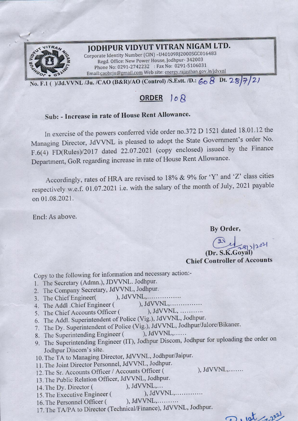

## **JODHPUR VIDYUT VITRAN NIGAM LTD.**

Corporate Identity Number (CIN) -U40109RJ2000SGC016483 Regd. Office: New Power House, [odhpur- 342003 Phone No: 0291-2742232 : Fax No: 0291-5106031 Email:caobrju@gmail.com Web site: energy.rajasthan.gov.in/jdvvnl

**No. F.1 ( )/Jd.VVNL /Ju. /CAO (B&R)/AO (Control) /S.Estt. /D.:** *~b 8* **Dt.** *2-'B}':J-/ 2)* 

## **ORDER }** *o* **8**

## **Sub: - Increase in rate of House Rent Allowance.**

In exercise of the powers conferred vide order no.372 D 1521 dated 18.01.12 the Managing Director, JdVVNL is pleased to adopt the State Government's order No. F.6(4) FD(Rules)/2017 dated 22.07.2021 (copy enclosed) issued by the Finance Department, GoR regarding increase in rate of House Rent Allowance.

Accordingly, rates of HRA are revised to 18% & 9% for 'Y' and 'Z' class cities respectively w.e.f. 01.07.2021 i.e. with the salary of the month of July, 2021 payable on 01.08.2021.

Encl: As above.

### **By Order,**

 $3y$  Order, **(Dr. S.K.Goyal) Chief Controller of Accounts** 

Copy to the following for information and necessary action:-

- 1. The Secretary (Admn.), JDVVNL. Jodhpur.
- 2. The Company Secretary, JdVVNL, Jodhpur.
- 3. The Chief Engineer( ), JdVVNL, .
- 4. The Addl .Chief Engineer (
), JdVVNL, ...............<br>
5. The Chief Accounts Officer (
), JdVVNL, ...........
- 5. The Chief Accounts Officer (
- 6. The Addi. Superintendent of Police (Vig.), JdVVNL, Jodhpur.
- 7. The Dy. Superintendent of Police (Vig.), JdVVNL, Jodhpur/Jalore/Bikaner.
- 8. The Superintending Engineer ( ), JdVVNL,......
- 9. The Superintending Engineer (IT), Jodhpur Discom, Jodhpur for uploading the order on Jodhpur Discom's site.
- 10. The TA to Managing Director, JdVVNL, Jodhpur/Jaipur.
- 11. The Joint Director Personnel, JdVVNL, Jodhpur.
- 11. The some Breeces of Hice Counts Officer (
12. The Sr. Accounts Officer (
13. The Sr. Accounts Officer / Accounts Officer (
13. The Sr. Accounts Officer / Accounts Officer (
13. The Sr. Accounts Officer / Accounts Offic
- 13. The Public Relation Officer, JdVVNL, Jodhpur.<br>14 The Dy Director (), JdVVNL,...
- 
- 14. The Dy. Director (
(b), JdVVNL,...<br>
15 The Executive Engineer (b), JdVVNL,............. 15. The Executive Engineer (
- 16. The Personnel Officer ( ), JdVVNL,..........
- 17. The TA/PA to Director (Technical/Finance), JdVVNL, Jodhpur.

D. 10t 12021